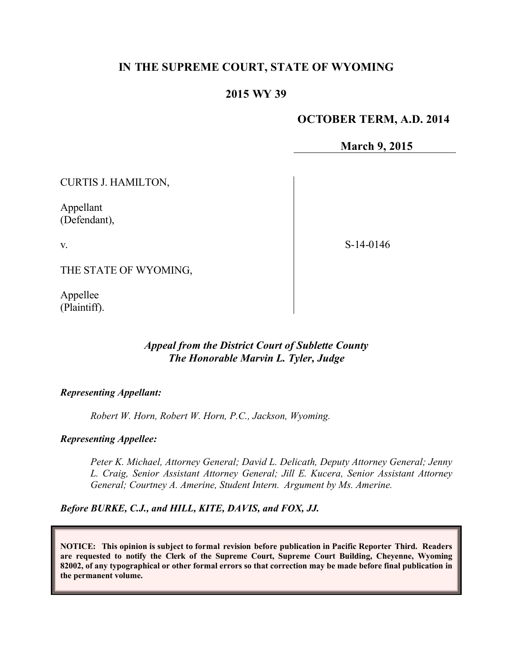# **IN THE SUPREME COURT, STATE OF WYOMING**

# **2015 WY 39**

### **OCTOBER TERM, A.D. 2014**

**March 9, 2015**

CURTIS J. HAMILTON,

Appellant (Defendant),

v.

S-14-0146

THE STATE OF WYOMING,

Appellee (Plaintiff).

# *Appeal from the District Court of Sublette County The Honorable Marvin L. Tyler, Judge*

*Representing Appellant:*

*Robert W. Horn, Robert W. Horn, P.C., Jackson, Wyoming.*

*Representing Appellee:*

*Peter K. Michael, Attorney General; David L. Delicath, Deputy Attorney General; Jenny L. Craig, Senior Assistant Attorney General; Jill E. Kucera, Senior Assistant Attorney General; Courtney A. Amerine, Student Intern. Argument by Ms. Amerine.*

*Before BURKE, C.J., and HILL, KITE, DAVIS, and FOX, JJ.*

**NOTICE: This opinion is subject to formal revision before publication in Pacific Reporter Third. Readers are requested to notify the Clerk of the Supreme Court, Supreme Court Building, Cheyenne, Wyoming 82002, of any typographical or other formal errors so that correction may be made before final publication in the permanent volume.**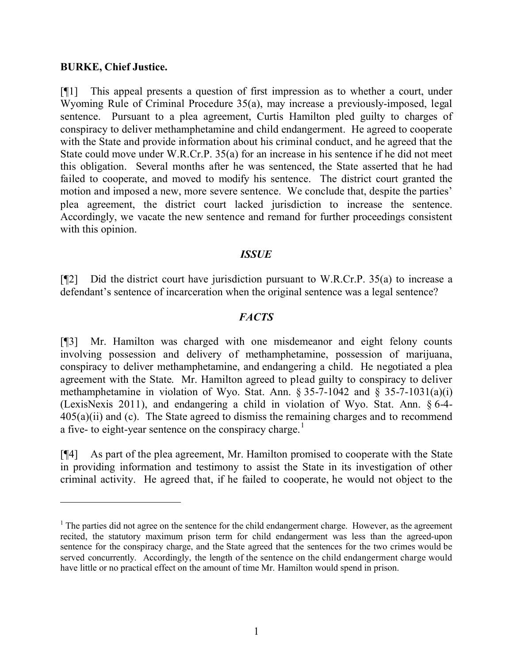#### **BURKE, Chief Justice.**

 $\overline{a}$ 

[¶1] This appeal presents a question of first impression as to whether a court, under Wyoming Rule of Criminal Procedure 35(a), may increase a previously-imposed, legal sentence. Pursuant to a plea agreement, Curtis Hamilton pled guilty to charges of conspiracy to deliver methamphetamine and child endangerment. He agreed to cooperate with the State and provide information about his criminal conduct, and he agreed that the State could move under W.R.Cr.P. 35(a) for an increase in his sentence if he did not meet this obligation. Several months after he was sentenced, the State asserted that he had failed to cooperate, and moved to modify his sentence. The district court granted the motion and imposed a new, more severe sentence. We conclude that, despite the parties' plea agreement, the district court lacked jurisdiction to increase the sentence. Accordingly, we vacate the new sentence and remand for further proceedings consistent with this opinion.

#### *ISSUE*

[¶2] Did the district court have jurisdiction pursuant to W.R.Cr.P. 35(a) to increase a defendant's sentence of incarceration when the original sentence was a legal sentence?

# *FACTS*

[¶3] Mr. Hamilton was charged with one misdemeanor and eight felony counts involving possession and delivery of methamphetamine, possession of marijuana, conspiracy to deliver methamphetamine, and endangering a child. He negotiated a plea agreement with the State. Mr. Hamilton agreed to plead guilty to conspiracy to deliver methamphetamine in violation of Wyo. Stat. Ann.  $\S 35-7-1042$  and  $\S 35-7-1031(a)(i)$ (LexisNexis 2011), and endangering a child in violation of Wyo. Stat. Ann. § 6-4- 405(a)(ii) and (c). The State agreed to dismiss the remaining charges and to recommend a five- to eight-year sentence on the conspiracy charge.<sup>1</sup>

[¶4] As part of the plea agreement, Mr. Hamilton promised to cooperate with the State in providing information and testimony to assist the State in its investigation of other criminal activity. He agreed that, if he failed to cooperate, he would not object to the

<sup>&</sup>lt;sup>1</sup> The parties did not agree on the sentence for the child endangerment charge. However, as the agreement recited, the statutory maximum prison term for child endangerment was less than the agreed-upon sentence for the conspiracy charge, and the State agreed that the sentences for the two crimes would be served concurrently. Accordingly, the length of the sentence on the child endangerment charge would have little or no practical effect on the amount of time Mr. Hamilton would spend in prison.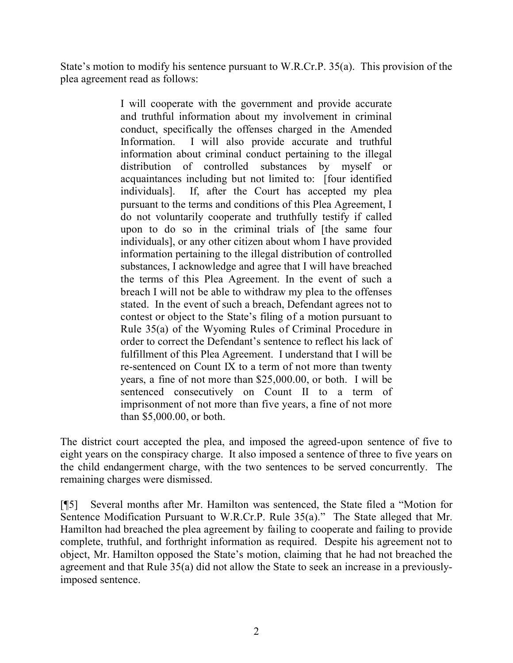State's motion to modify his sentence pursuant to W.R.Cr.P. 35(a). This provision of the plea agreement read as follows:

> I will cooperate with the government and provide accurate and truthful information about my involvement in criminal conduct, specifically the offenses charged in the Amended Information. I will also provide accurate and truthful information about criminal conduct pertaining to the illegal distribution of controlled substances by myself or acquaintances including but not limited to: [four identified individuals]. If, after the Court has accepted my plea pursuant to the terms and conditions of this Plea Agreement, I do not voluntarily cooperate and truthfully testify if called upon to do so in the criminal trials of [the same four individuals], or any other citizen about whom I have provided information pertaining to the illegal distribution of controlled substances, I acknowledge and agree that I will have breached the terms of this Plea Agreement. In the event of such a breach I will not be able to withdraw my plea to the offenses stated. In the event of such a breach, Defendant agrees not to contest or object to the State's filing of a motion pursuant to Rule 35(a) of the Wyoming Rules of Criminal Procedure in order to correct the Defendant's sentence to reflect his lack of fulfillment of this Plea Agreement. I understand that I will be re-sentenced on Count IX to a term of not more than twenty years, a fine of not more than \$25,000.00, or both. I will be sentenced consecutively on Count II to a term of imprisonment of not more than five years, a fine of not more than \$5,000.00, or both.

The district court accepted the plea, and imposed the agreed-upon sentence of five to eight years on the conspiracy charge. It also imposed a sentence of three to five years on the child endangerment charge, with the two sentences to be served concurrently. The remaining charges were dismissed.

[¶5] Several months after Mr. Hamilton was sentenced, the State filed a "Motion for Sentence Modification Pursuant to W.R.Cr.P. Rule 35(a)." The State alleged that Mr. Hamilton had breached the plea agreement by failing to cooperate and failing to provide complete, truthful, and forthright information as required. Despite his agreement not to object, Mr. Hamilton opposed the State's motion, claiming that he had not breached the agreement and that Rule 35(a) did not allow the State to seek an increase in a previouslyimposed sentence.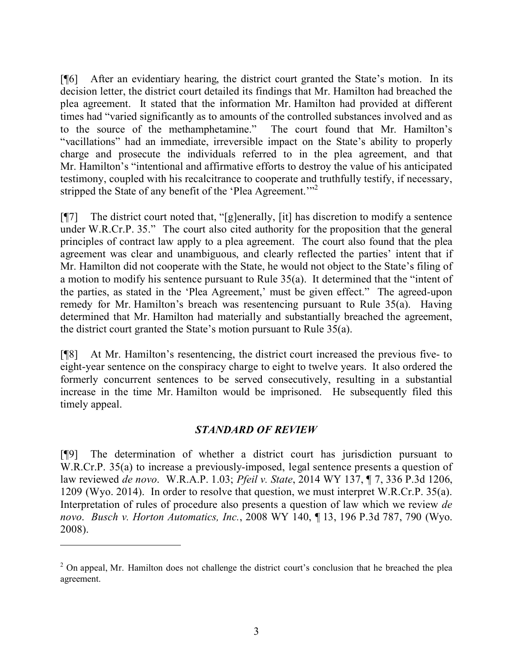[¶6] After an evidentiary hearing, the district court granted the State's motion. In its decision letter, the district court detailed its findings that Mr. Hamilton had breached the plea agreement. It stated that the information Mr. Hamilton had provided at different times had "varied significantly as to amounts of the controlled substances involved and as to the source of the methamphetamine." The court found that Mr. Hamilton's "vacillations" had an immediate, irreversible impact on the State's ability to properly charge and prosecute the individuals referred to in the plea agreement, and that Mr. Hamilton's "intentional and affirmative efforts to destroy the value of his anticipated testimony, coupled with his recalcitrance to cooperate and truthfully testify, if necessary, stripped the State of any benefit of the 'Plea Agreement.'"<sup>2</sup>

[¶7] The district court noted that, "[g]enerally, [it] has discretion to modify a sentence under W.R.Cr.P. 35." The court also cited authority for the proposition that the general principles of contract law apply to a plea agreement. The court also found that the plea agreement was clear and unambiguous, and clearly reflected the parties' intent that if Mr. Hamilton did not cooperate with the State, he would not object to the State's filing of a motion to modify his sentence pursuant to Rule 35(a). It determined that the "intent of the parties, as stated in the 'Plea Agreement,' must be given effect." The agreed-upon remedy for Mr. Hamilton's breach was resentencing pursuant to Rule 35(a). Having determined that Mr. Hamilton had materially and substantially breached the agreement, the district court granted the State's motion pursuant to Rule 35(a).

[¶8] At Mr. Hamilton's resentencing, the district court increased the previous five- to eight-year sentence on the conspiracy charge to eight to twelve years. It also ordered the formerly concurrent sentences to be served consecutively, resulting in a substantial increase in the time Mr. Hamilton would be imprisoned. He subsequently filed this timely appeal.

# *STANDARD OF REVIEW*

[¶9] The determination of whether a district court has jurisdiction pursuant to W.R.Cr.P. 35(a) to increase a previously-imposed, legal sentence presents a question of law reviewed *de novo*. W.R.A.P. 1.03; *Pfeil v. State*, 2014 WY 137, ¶ 7, 336 P.3d 1206, 1209 (Wyo. 2014). In order to resolve that question, we must interpret W.R.Cr.P. 35(a). Interpretation of rules of procedure also presents a question of law which we review *de novo*. *Busch v. Horton Automatics, Inc.*, 2008 WY 140, ¶ 13, 196 P.3d 787, 790 (Wyo. 2008).

<sup>&</sup>lt;sup>2</sup> On appeal, Mr. Hamilton does not challenge the district court's conclusion that he breached the plea agreement.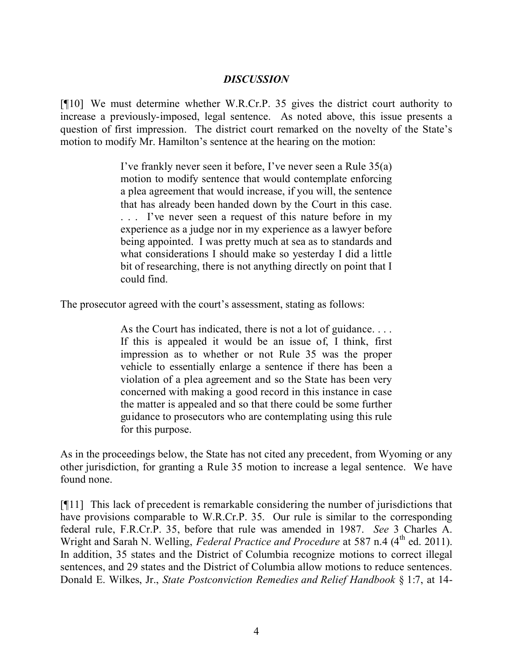### *DISCUSSION*

[¶10] We must determine whether W.R.Cr.P. 35 gives the district court authority to increase a previously-imposed, legal sentence. As noted above, this issue presents a question of first impression. The district court remarked on the novelty of the State's motion to modify Mr. Hamilton's sentence at the hearing on the motion:

> I've frankly never seen it before, I've never seen a Rule 35(a) motion to modify sentence that would contemplate enforcing a plea agreement that would increase, if you will, the sentence that has already been handed down by the Court in this case. . . . I've never seen a request of this nature before in my experience as a judge nor in my experience as a lawyer before being appointed. I was pretty much at sea as to standards and what considerations I should make so yesterday I did a little bit of researching, there is not anything directly on point that I could find.

The prosecutor agreed with the court's assessment, stating as follows:

As the Court has indicated, there is not a lot of guidance.... If this is appealed it would be an issue of, I think, first impression as to whether or not Rule 35 was the proper vehicle to essentially enlarge a sentence if there has been a violation of a plea agreement and so the State has been very concerned with making a good record in this instance in case the matter is appealed and so that there could be some further guidance to prosecutors who are contemplating using this rule for this purpose.

As in the proceedings below, the State has not cited any precedent, from Wyoming or any other jurisdiction, for granting a Rule 35 motion to increase a legal sentence. We have found none.

[¶11] This lack of precedent is remarkable considering the number of jurisdictions that have provisions comparable to W.R.Cr.P. 35. Our rule is similar to the corresponding federal rule, F.R.Cr.P. 35, before that rule was amended in 1987. *See* 3 Charles A. Wright and Sarah N. Welling, *Federal Practice and Procedure* at 587 n.4 (4<sup>th</sup> ed. 2011). In addition, 35 states and the District of Columbia recognize motions to correct illegal sentences, and 29 states and the District of Columbia allow motions to reduce sentences. Donald E. Wilkes, Jr., *State Postconviction Remedies and Relief Handbook* § 1:7, at 14-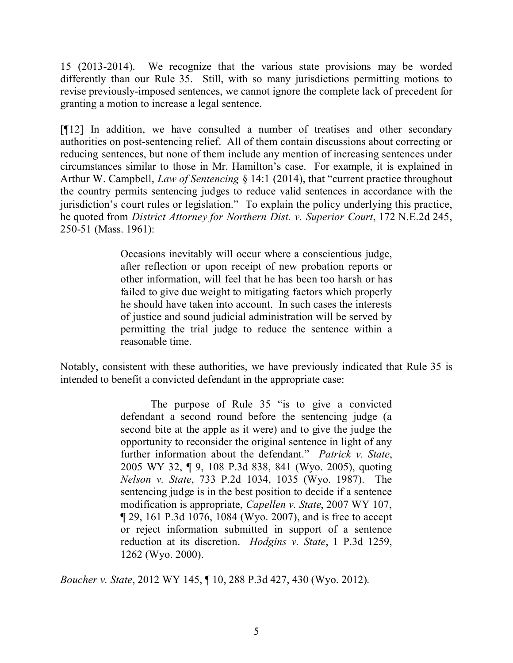15 (2013-2014). We recognize that the various state provisions may be worded differently than our Rule 35. Still, with so many jurisdictions permitting motions to revise previously-imposed sentences, we cannot ignore the complete lack of precedent for granting a motion to increase a legal sentence.

[¶12] In addition, we have consulted a number of treatises and other secondary authorities on post-sentencing relief. All of them contain discussions about correcting or reducing sentences, but none of them include any mention of increasing sentences under circumstances similar to those in Mr. Hamilton's case. For example, it is explained in Arthur W. Campbell, *Law of Sentencing* § 14:1 (2014), that "current practice throughout the country permits sentencing judges to reduce valid sentences in accordance with the jurisdiction's court rules or legislation." To explain the policy underlying this practice, he quoted from *District Attorney for Northern Dist. v. Superior Court*, 172 N.E.2d 245, 250-51 (Mass. 1961):

> Occasions inevitably will occur where a conscientious judge, after reflection or upon receipt of new probation reports or other information, will feel that he has been too harsh or has failed to give due weight to mitigating factors which properly he should have taken into account. In such cases the interests of justice and sound judicial administration will be served by permitting the trial judge to reduce the sentence within a reasonable time.

Notably, consistent with these authorities, we have previously indicated that Rule 35 is intended to benefit a convicted defendant in the appropriate case:

> The purpose of Rule 35 "is to give a convicted defendant a second round before the sentencing judge (a second bite at the apple as it were) and to give the judge the opportunity to reconsider the original sentence in light of any further information about the defendant." *Patrick v. State*, 2005 WY 32, ¶ 9, 108 P.3d 838, 841 (Wyo. 2005), quoting *Nelson v. State*, 733 P.2d 1034, 1035 (Wyo. 1987). The sentencing judge is in the best position to decide if a sentence modification is appropriate, *Capellen v. State*, 2007 WY 107, ¶ 29, 161 P.3d 1076, 1084 (Wyo. 2007), and is free to accept or reject information submitted in support of a sentence reduction at its discretion. *Hodgins v. State*, 1 P.3d 1259, 1262 (Wyo. 2000).

*Boucher v. State*, 2012 WY 145, ¶ 10, 288 P.3d 427, 430 (Wyo. 2012).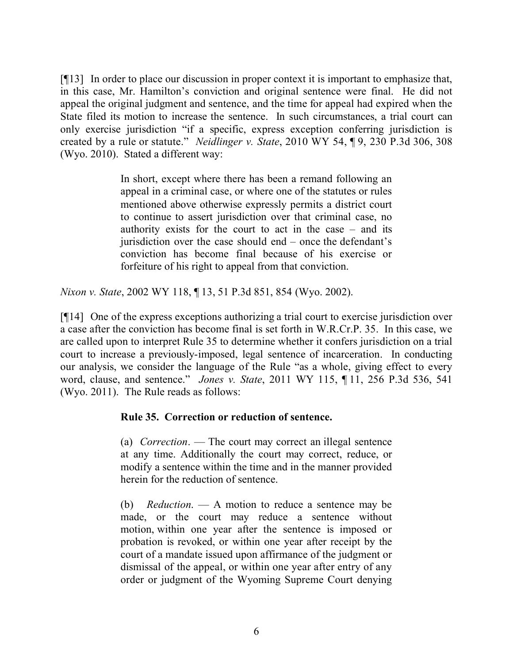[¶13] In order to place our discussion in proper context it is important to emphasize that, in this case, Mr. Hamilton's conviction and original sentence were final. He did not appeal the original judgment and sentence, and the time for appeal had expired when the State filed its motion to increase the sentence. In such circumstances, a trial court can only exercise jurisdiction "if a specific, express exception conferring jurisdiction is created by a rule or statute." *Neidlinger v. State*, 2010 WY 54, ¶ 9, 230 P.3d 306, 308 (Wyo. 2010). Stated a different way:

> In short, except where there has been a remand following an appeal in a criminal case, or where one of the statutes or rules mentioned above otherwise expressly permits a district court to continue to assert jurisdiction over that criminal case, no authority exists for the court to act in the case – and its jurisdiction over the case should end – once the defendant's conviction has become final because of his exercise or forfeiture of his right to appeal from that conviction.

*Nixon v. State*, 2002 WY 118, ¶ 13, 51 P.3d 851, 854 (Wyo. 2002).

[¶14] One of the express exceptions authorizing a trial court to exercise jurisdiction over a case after the conviction has become final is set forth in W.R.Cr.P. 35. In this case, we are called upon to interpret Rule 35 to determine whether it confers jurisdiction on a trial court to increase a previously-imposed, legal sentence of incarceration. In conducting our analysis, we consider the language of the Rule "as a whole, giving effect to every word, clause, and sentence." *Jones v. State*, 2011 WY 115, ¶ 11, 256 P.3d 536, 541 (Wyo. 2011). The Rule reads as follows:

#### **Rule 35. Correction or reduction of sentence.**

(a) *Correction*. — The court may correct an illegal sentence at any time. Additionally the court may correct, reduce, or modify a sentence within the time and in the manner provided herein for the reduction of sentence.

(b) *Reduction*. — A motion to reduce a sentence may be made, or the court may reduce a sentence without motion, within one year after the sentence is imposed or probation is revoked, or within one year after receipt by the court of a mandate issued upon affirmance of the judgment or dismissal of the appeal, or within one year after entry of any order or judgment of the Wyoming Supreme Court denying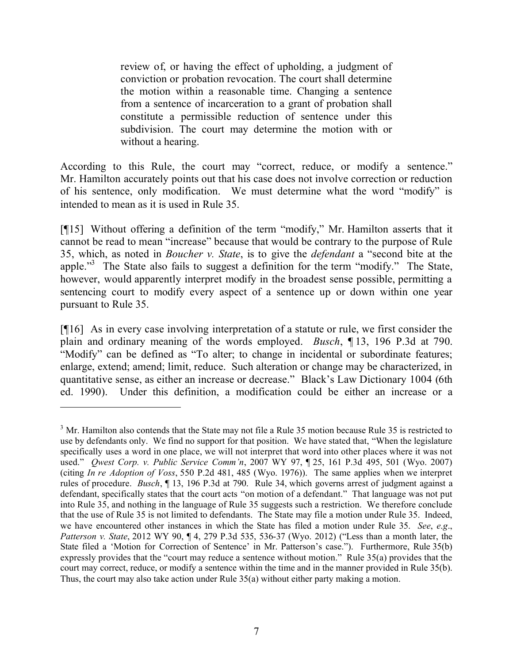review of, or having the effect of upholding, a judgment of conviction or probation revocation. The court shall determine the motion within a reasonable time. Changing a sentence from a sentence of incarceration to a grant of probation shall constitute a permissible reduction of sentence under this subdivision. The court may determine the motion with or without a hearing.

According to this Rule, the court may "correct, reduce, or modify a sentence." Mr. Hamilton accurately points out that his case does not involve correction or reduction of his sentence, only modification. We must determine what the word "modify" is intended to mean as it is used in Rule 35.

[¶15] Without offering a definition of the term "modify," Mr. Hamilton asserts that it cannot be read to mean "increase" because that would be contrary to the purpose of Rule 35, which, as noted in *Boucher v. State*, is to give the *defendant* a "second bite at the apple."<sup>3</sup> The State also fails to suggest a definition for the term "modify." The State, however, would apparently interpret modify in the broadest sense possible, permitting a sentencing court to modify every aspect of a sentence up or down within one year pursuant to Rule 35.

[¶16] As in every case involving interpretation of a statute or rule, we first consider the plain and ordinary meaning of the words employed. *Busch*, ¶ 13, 196 P.3d at 790. "Modify" can be defined as "To alter; to change in incidental or subordinate features; enlarge, extend; amend; limit, reduce. Such alteration or change may be characterized, in quantitative sense, as either an increase or decrease." Black's Law Dictionary 1004 (6th ed. 1990). Under this definition, a modification could be either an increase or a

<sup>&</sup>lt;sup>3</sup> Mr. Hamilton also contends that the State may not file a Rule 35 motion because Rule 35 is restricted to use by defendants only. We find no support for that position. We have stated that, "When the legislature specifically uses a word in one place, we will not interpret that word into other places where it was not used." *Qwest Corp. v. Public Service Comm'n*, 2007 WY 97, ¶ 25, 161 P.3d 495, 501 (Wyo. 2007) (citing *In re Adoption of Voss*, 550 P.2d 481, 485 (Wyo. 1976)). The same applies when we interpret rules of procedure. *Busch*, ¶ 13, 196 P.3d at 790. Rule 34, which governs arrest of judgment against a defendant, specifically states that the court acts "on motion of a defendant." That language was not put into Rule 35, and nothing in the language of Rule 35 suggests such a restriction. We therefore conclude that the use of Rule 35 is not limited to defendants. The State may file a motion under Rule 35. Indeed, we have encountered other instances in which the State has filed a motion under Rule 35. *See*, *e*.*g*., *Patterson v. State*, 2012 WY 90, ¶ 4, 279 P.3d 535, 536-37 (Wyo. 2012) ("Less than a month later, the State filed a 'Motion for Correction of Sentence' in Mr. Patterson's case."). Furthermore, Rule 35(b) expressly provides that the "court may reduce a sentence without motion." Rule 35(a) provides that the court may correct, reduce, or modify a sentence within the time and in the manner provided in Rule 35(b). Thus, the court may also take action under Rule 35(a) without either party making a motion.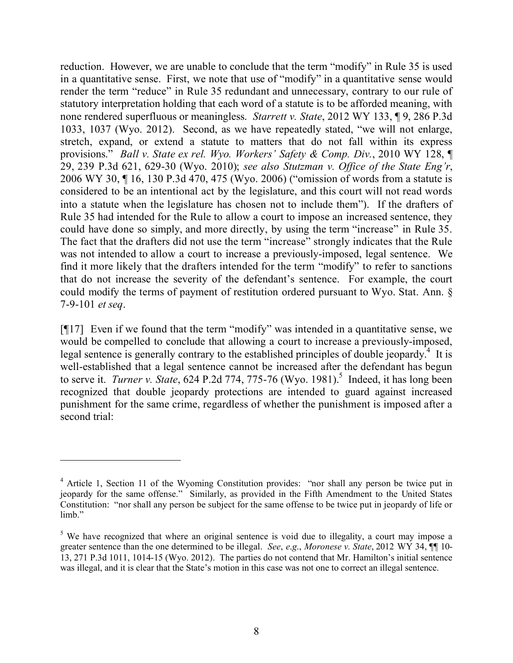reduction. However, we are unable to conclude that the term "modify" in Rule 35 is used in a quantitative sense. First, we note that use of "modify" in a quantitative sense would render the term "reduce" in Rule 35 redundant and unnecessary, contrary to our rule of statutory interpretation holding that each word of a statute is to be afforded meaning, with none rendered superfluous or meaningless. *Starrett v. State*, 2012 WY 133, ¶ 9, 286 P.3d 1033, 1037 (Wyo. 2012). Second, as we have repeatedly stated, "we will not enlarge, stretch, expand, or extend a statute to matters that do not fall within its express provisions." *Ball v. State ex rel. Wyo. Workers' Safety & Comp. Div.*, 2010 WY 128, ¶ 29, 239 P.3d 621, 629-30 (Wyo. 2010); *see also Stutzman v. Office of the State Eng'r*, 2006 WY 30, ¶ 16, 130 P.3d 470, 475 (Wyo. 2006) ("omission of words from a statute is considered to be an intentional act by the legislature, and this court will not read words into a statute when the legislature has chosen not to include them"). If the drafters of Rule 35 had intended for the Rule to allow a court to impose an increased sentence, they could have done so simply, and more directly, by using the term "increase" in Rule 35. The fact that the drafters did not use the term "increase" strongly indicates that the Rule was not intended to allow a court to increase a previously-imposed, legal sentence. We find it more likely that the drafters intended for the term "modify" to refer to sanctions that do not increase the severity of the defendant's sentence. For example, the court could modify the terms of payment of restitution ordered pursuant to Wyo. Stat. Ann. § 7-9-101 *et seq*.

[¶17] Even if we found that the term "modify" was intended in a quantitative sense, we would be compelled to conclude that allowing a court to increase a previously-imposed, legal sentence is generally contrary to the established principles of double jeopardy.<sup>4</sup> It is well-established that a legal sentence cannot be increased after the defendant has begun to serve it. *Turner v. State*, 624 P.2d 774, 775-76 (Wyo. 1981).<sup>5</sup> Indeed, it has long been recognized that double jeopardy protections are intended to guard against increased punishment for the same crime, regardless of whether the punishment is imposed after a second trial:

<sup>&</sup>lt;sup>4</sup> Article 1, Section 11 of the Wyoming Constitution provides: "nor shall any person be twice put in jeopardy for the same offense." Similarly, as provided in the Fifth Amendment to the United States Constitution: "nor shall any person be subject for the same offense to be twice put in jeopardy of life or limb."

<sup>&</sup>lt;sup>5</sup> We have recognized that where an original sentence is void due to illegality, a court may impose a greater sentence than the one determined to be illegal. *See*, *e*.*g*., *Moronese v. State*, 2012 WY 34, ¶¶ 10- 13, 271 P.3d 1011, 1014-15 (Wyo. 2012). The parties do not contend that Mr. Hamilton's initial sentence was illegal, and it is clear that the State's motion in this case was not one to correct an illegal sentence.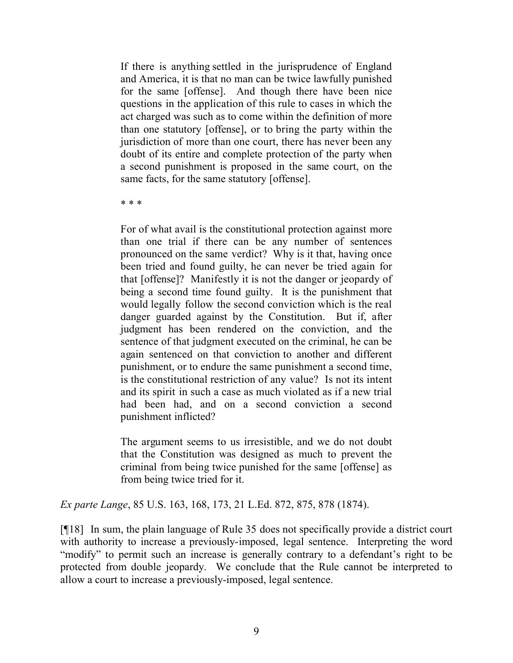If there is anything settled in the jurisprudence of England and America, it is that no man can be twice lawfully punished for the same [offense]. And though there have been nice questions in the application of this rule to cases in which the act charged was such as to come within the definition of more than one statutory [offense], or to bring the party within the jurisdiction of more than one court, there has never been any doubt of its entire and complete protection of the party when a second punishment is proposed in the same court, on the same facts, for the same statutory [offense].

\* \* \*

For of what avail is the constitutional protection against more than one trial if there can be any number of sentences pronounced on the same verdict? Why is it that, having once been tried and found guilty, he can never be tried again for that [offense]? Manifestly it is not the danger or jeopardy of being a second time found guilty. It is the punishment that would legally follow the second conviction which is the real danger guarded against by the Constitution. But if, after judgment has been rendered on the conviction, and the sentence of that judgment executed on the criminal, he can be again sentenced on that conviction to another and different punishment, or to endure the same punishment a second time, is the constitutional restriction of any value? Is not its intent and its spirit in such a case as much violated as if a new trial had been had, and on a second conviction a second punishment inflicted?

The argument seems to us irresistible, and we do not doubt that the Constitution was designed as much to prevent the criminal from being twice punished for the same [offense] as from being twice tried for it.

*Ex parte Lange*, 85 U.S. 163, 168, 173, 21 L.Ed. 872, 875, 878 (1874).

[¶18] In sum, the plain language of Rule 35 does not specifically provide a district court with authority to increase a previously-imposed, legal sentence. Interpreting the word "modify" to permit such an increase is generally contrary to a defendant's right to be protected from double jeopardy. We conclude that the Rule cannot be interpreted to allow a court to increase a previously-imposed, legal sentence.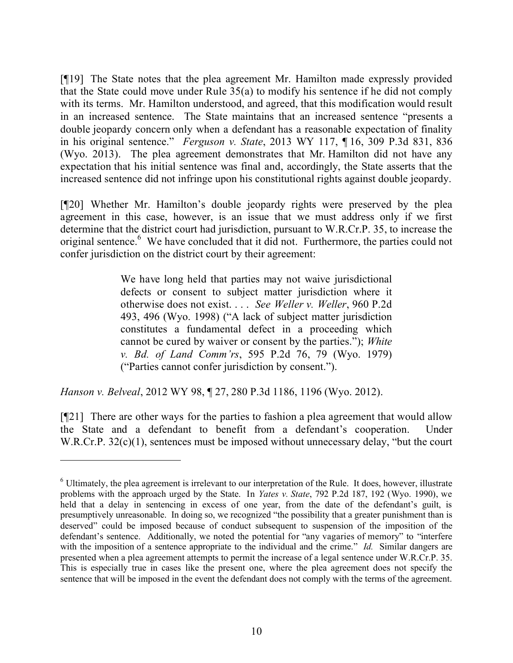[¶19] The State notes that the plea agreement Mr. Hamilton made expressly provided that the State could move under Rule 35(a) to modify his sentence if he did not comply with its terms. Mr. Hamilton understood, and agreed, that this modification would result in an increased sentence. The State maintains that an increased sentence "presents a double jeopardy concern only when a defendant has a reasonable expectation of finality in his original sentence." *Ferguson v. State*, 2013 WY 117, ¶ 16, 309 P.3d 831, 836 (Wyo. 2013). The plea agreement demonstrates that Mr. Hamilton did not have any expectation that his initial sentence was final and, accordingly, the State asserts that the increased sentence did not infringe upon his constitutional rights against double jeopardy.

[¶20] Whether Mr. Hamilton's double jeopardy rights were preserved by the plea agreement in this case, however, is an issue that we must address only if we first determine that the district court had jurisdiction, pursuant to W.R.Cr.P. 35, to increase the original sentence.<sup>6</sup> We have concluded that it did not. Furthermore, the parties could not confer jurisdiction on the district court by their agreement:

> We have long held that parties may not waive jurisdictional defects or consent to subject matter jurisdiction where it otherwise does not exist. . . . *See Weller v. Weller*, 960 P.2d 493, 496 (Wyo. 1998) ("A lack of subject matter jurisdiction constitutes a fundamental defect in a proceeding which cannot be cured by waiver or consent by the parties."); *White v. Bd. of Land Comm'rs*, 595 P.2d 76, 79 (Wyo. 1979) ("Parties cannot confer jurisdiction by consent.").

*Hanson v. Belveal*, 2012 WY 98, ¶ 27, 280 P.3d 1186, 1196 (Wyo. 2012).

[¶21] There are other ways for the parties to fashion a plea agreement that would allow the State and a defendant to benefit from a defendant's cooperation. Under W.R.Cr.P. 32(c)(1), sentences must be imposed without unnecessary delay, "but the court

<sup>&</sup>lt;sup>6</sup> Ultimately, the plea agreement is irrelevant to our interpretation of the Rule. It does, however, illustrate problems with the approach urged by the State. In *Yates v. State*, 792 P.2d 187, 192 (Wyo. 1990), we held that a delay in sentencing in excess of one year, from the date of the defendant's guilt, is presumptively unreasonable. In doing so, we recognized "the possibility that a greater punishment than is deserved" could be imposed because of conduct subsequent to suspension of the imposition of the defendant's sentence. Additionally, we noted the potential for "any vagaries of memory" to "interfere with the imposition of a sentence appropriate to the individual and the crime." *Id.* Similar dangers are presented when a plea agreement attempts to permit the increase of a legal sentence under W.R.Cr.P. 35. This is especially true in cases like the present one, where the plea agreement does not specify the sentence that will be imposed in the event the defendant does not comply with the terms of the agreement.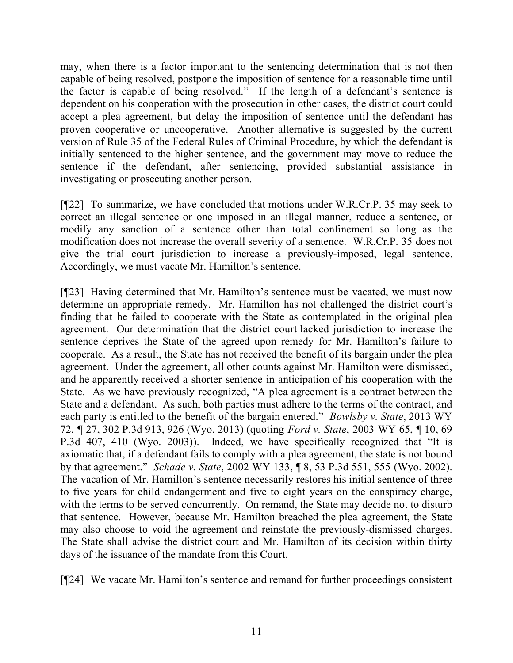may, when there is a factor important to the sentencing determination that is not then capable of being resolved, postpone the imposition of sentence for a reasonable time until the factor is capable of being resolved." If the length of a defendant's sentence is dependent on his cooperation with the prosecution in other cases, the district court could accept a plea agreement, but delay the imposition of sentence until the defendant has proven cooperative or uncooperative. Another alternative is suggested by the current version of Rule 35 of the Federal Rules of Criminal Procedure, by which the defendant is initially sentenced to the higher sentence, and the government may move to reduce the sentence if the defendant, after sentencing, provided substantial assistance in investigating or prosecuting another person.

[¶22] To summarize, we have concluded that motions under W.R.Cr.P. 35 may seek to correct an illegal sentence or one imposed in an illegal manner, reduce a sentence, or modify any sanction of a sentence other than total confinement so long as the modification does not increase the overall severity of a sentence. W.R.Cr.P. 35 does not give the trial court jurisdiction to increase a previously-imposed, legal sentence. Accordingly, we must vacate Mr. Hamilton's sentence.

[¶23] Having determined that Mr. Hamilton's sentence must be vacated, we must now determine an appropriate remedy. Mr. Hamilton has not challenged the district court's finding that he failed to cooperate with the State as contemplated in the original plea agreement. Our determination that the district court lacked jurisdiction to increase the sentence deprives the State of the agreed upon remedy for Mr. Hamilton's failure to cooperate. As a result, the State has not received the benefit of its bargain under the plea agreement. Under the agreement, all other counts against Mr. Hamilton were dismissed, and he apparently received a shorter sentence in anticipation of his cooperation with the State. As we have previously recognized, "A plea agreement is a contract between the State and a defendant. As such, both parties must adhere to the terms of the contract, and each party is entitled to the benefit of the bargain entered." *Bowlsby v. State*, 2013 WY 72, ¶ 27, 302 P.3d 913, 926 (Wyo. 2013) (quoting *Ford v. State*, 2003 WY 65, ¶ 10, 69 P.3d 407, 410 (Wyo. 2003)). Indeed, we have specifically recognized that "It is axiomatic that, if a defendant fails to comply with a plea agreement, the state is not bound by that agreement." *Schade v. State*, 2002 WY 133, ¶ 8, 53 P.3d 551, 555 (Wyo. 2002). The vacation of Mr. Hamilton's sentence necessarily restores his initial sentence of three to five years for child endangerment and five to eight years on the conspiracy charge, with the terms to be served concurrently. On remand, the State may decide not to disturb that sentence. However, because Mr. Hamilton breached the plea agreement, the State may also choose to void the agreement and reinstate the previously-dismissed charges. The State shall advise the district court and Mr. Hamilton of its decision within thirty days of the issuance of the mandate from this Court.

[¶24] We vacate Mr. Hamilton's sentence and remand for further proceedings consistent